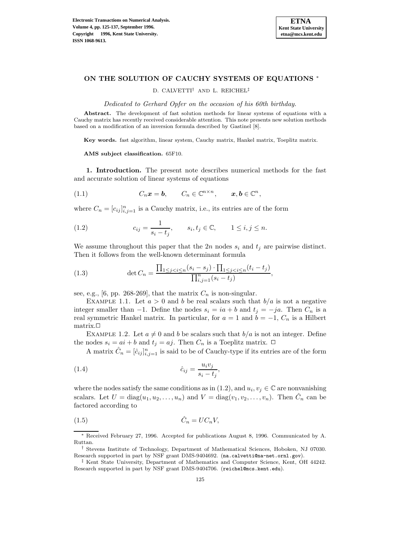

# **ON THE SOLUTION OF CAUCHY SYSTEMS OF EQUATIONS** <sup>∗</sup>

D. CALVETTI† AND L. REICHEL‡

Dedicated to Gerhard Opfer on the occasion of his 60th birthday.

**Abstract.** The development of fast solution methods for linear systems of equations with a Cauchy matrix has recently received considerable attention. This note presents new solution methods based on a modification of an inversion formula described by Gastinel [8].

**Key words.** fast algorithm, linear system, Cauchy matrix, Hankel matrix, Toeplitz matrix.

**AMS subject classification.** 65F10.

**1. Introduction.** The present note describes numerical methods for the fast and accurate solution of linear systems of equations

(1.1) 
$$
C_n \mathbf{x} = \mathbf{b}, \qquad C_n \in \mathbb{C}^{n \times n}, \qquad \mathbf{x}, \mathbf{b} \in \mathbb{C}^n,
$$

where  $C_n = [c_{ij}]_{i,j=1}^n$  is a Cauchy matrix, i.e., its entries are of the form

(1.2) 
$$
c_{ij} = \frac{1}{s_i - t_j}, \qquad s_i, t_j \in \mathbb{C}, \qquad 1 \le i, j \le n.
$$

We assume throughout this paper that the 2n nodes  $s_i$  and  $t_j$  are pairwise distinct. Then it follows from the well-known determinant formula

(1.3) 
$$
\det C_n = \frac{\prod_{1 \le j < i \le n} (s_i - s_j) \cdot \prod_{1 \le j < i \le n} (t_i - t_j)}{\prod_{i,j=1}^n (s_i - t_j)},
$$

see, e.g., [6, pp. 268-269], that the matrix  $C_n$  is non-singular.

EXAMPLE 1.1. Let  $a > 0$  and b be real scalars such that  $b/a$  is not a negative integer smaller than −1. Define the nodes  $s_i = ia + b$  and  $t_j = -ja$ . Then  $C_n$  is a real symmetric Hankel matrix. In particular, for  $a = 1$  and  $b = -1$ ,  $C_n$  is a Hilbert matrix.<sup> $\Box$ </sup>

EXAMPLE 1.2. Let  $a \neq 0$  and b be scalars such that  $b/a$  is not an integer. Define the nodes  $s_i = ai + b$  and  $t_j = aj$ . Then  $C_n$  is a Toeplitz matrix.  $\Box$ 

A matrix  $\hat{C}_n = [\hat{c}_{ij}]_{i,j=1}^n$  is said to be of Cauchy-type if its entries are of the form

$$
\hat{c}_{ij} = \frac{u_i v_j}{s_i - t_j},
$$

where the nodes satisfy the same conditions as in (1.2), and  $u_i, v_j \in \mathbb{C}$  are nonvanishing scalars. Let  $U = \text{diag}(u_1, u_2, \dots, u_n)$  and  $V = \text{diag}(v_1, v_2, \dots, v_n)$ . Then  $C_n$  can be factored according to

$$
(1.5) \t\t \hat{C}_n = UC_nV,
$$

<sup>∗</sup> Received February 27, 1996. Accepted for publications August 8, 1996. Communicated by A. Ruttan.

<sup>†</sup> Stevens Institute of Technology, Department of Mathematical Sciences, Hoboken, NJ 07030. Research supported in part by NSF grant DMS-9404692. (na.calvetti@na-net.ornl.gov).

<sup>‡</sup> Kent State University, Department of Mathematics and Computer Science, Kent, OH 44242. Research supported in part by NSF grant DMS-9404706. (reichel@mcs.kent.edu).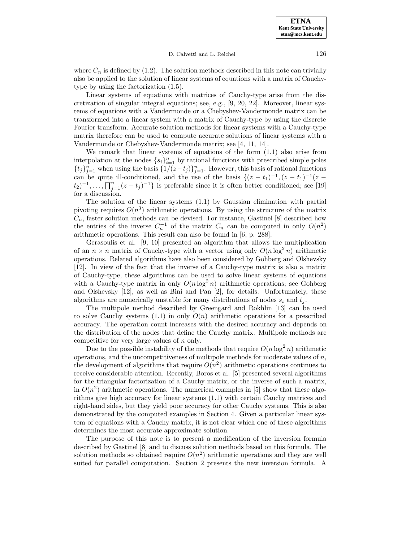D. Calvetti and L. Reichel 126

where  $C_n$  is defined by (1.2). The solution methods described in this note can trivially also be applied to the solution of linear systems of equations with a matrix of Cauchytype by using the factorization (1.5).

Linear systems of equations with matrices of Cauchy-type arise from the discretization of singular integral equations; see, e.g., [9, 20, 22]. Moreover, linear systems of equations with a Vandermonde or a Chebyshev-Vandermonde matrix can be transformed into a linear system with a matrix of Cauchy-type by using the discrete Fourier transform. Accurate solution methods for linear systems with a Cauchy-type matrix therefore can be used to compute accurate solutions of linear systems with a Vandermonde or Chebyshev-Vandermonde matrix; see [4, 11, 14].

We remark that linear systems of equations of the form  $(1.1)$  also arise from interpolation at the nodes  $\{s_i\}_{i=1}^n$  by rational functions with prescribed simple poles  ${t_j}_{j=1}^n$  when using the basis  ${1/(z-t_j)}_{j=1}^n$ . However, this basis of rational functions can be quite ill-conditioned, and the use of the basis  $\{(z - t_1)^{-1}, (z - t_1)^{-1}(z (t_2)^{-1}, \ldots, \prod_{j=1}^n (z-t_j)^{-1}$  is preferable since it is often better conditioned; see [19] for a discussion.

The solution of the linear systems (1.1) by Gaussian elimination with partial pivoting requires  $O(n^3)$  arithmetic operations. By using the structure of the matrix  $C_n$ , faster solution methods can be devised. For instance, Gastinel  $[8]$  described how the entries of the inverse  $C_n^{-1}$  of the matrix  $C_n$  can be computed in only  $O(n^2)$ arithmetic operations. This result can also be found in [6, p. 288].

Gerasoulis et al. [9, 10] presented an algorithm that allows the multiplication of an  $n \times n$  matrix of Cauchy-type with a vector using only  $O(n \log^2 n)$  arithmetic operations. Related algorithms have also been considered by Gohberg and Olshevsky [12]. In view of the fact that the inverse of a Cauchy-type matrix is also a matrix of Cauchy-type, these algorithms can be used to solve linear systems of equations with a Cauchy-type matrix in only  $O(n \log^2 n)$  arithmetic operations; see Gohberg and Olshevsky [12], as well as Bini and Pan [2], for details. Unfortunately, these algorithms are numerically unstable for many distributions of nodes  $s_i$  and  $t_j$ .

The multipole method described by Greengard and Rokhlin [13] can be used to solve Cauchy systems  $(1.1)$  in only  $O(n)$  arithmetic operations for a prescribed accuracy. The operation count increases with the desired accuracy and depends on the distribution of the nodes that define the Cauchy matrix. Multipole methods are competitive for very large values of n only.

Due to the possible instability of the methods that require  $O(n \log^2 n)$  arithmetic operations, and the uncompetitiveness of multipole methods for moderate values of  $n$ , the development of algorithms that require  $O(n^2)$  arithmetic operations continues to receive considerable attention. Recently, Boros et al. [5] presented several algorithms for the triangular factorization of a Cauchy matrix, or the inverse of such a matrix, in  $O(n^2)$  arithmetic operations. The numerical examples in [5] show that these algorithms give high accuracy for linear systems (1.1) with certain Cauchy matrices and right-hand sides, but they yield poor accuracy for other Cauchy systems. This is also demonstrated by the computed examples in Section 4. Given a particular linear system of equations with a Cauchy matrix, it is not clear which one of these algorithms determines the most accurate approximate solution.

The purpose of this note is to present a modification of the inversion formula described by Gastinel [8] and to discuss solution methods based on this formula. The solution methods so obtained require  $O(n^2)$  arithmetic operations and they are well suited for parallel computation. Section 2 presents the new inversion formula. A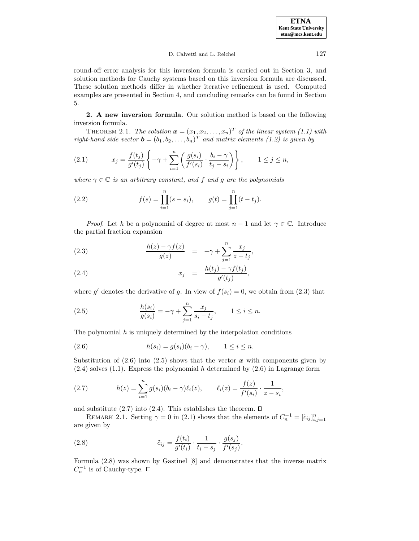### D. Calvetti and L. Reichel 127

round-off error analysis for this inversion formula is carried out in Section 3, and solution methods for Cauchy systems based on this inversion formula are discussed. These solution methods differ in whether iterative refinement is used. Computed examples are presented in Section 4, and concluding remarks can be found in Section 5.

**2. A new inversion formula.** Our solution method is based on the following inversion formula.

THEOREM 2.1. The solution  $\mathbf{x} = (x_1, x_2, \ldots, x_n)^T$  of the linear system (1.1) with right-hand side vector  $\mathbf{b} = (b_1, b_2, \ldots, b_n)^T$  and matrix elements (1.2) is given by

(2.1) 
$$
x_j = \frac{f(t_j)}{g'(t_j)} \left\{-\gamma + \sum_{i=1}^n \left(\frac{g(s_i)}{f'(s_i)} \cdot \frac{b_i - \gamma}{t_j - s_i}\right)\right\}, \qquad 1 \le j \le n,
$$

where  $\gamma \in \mathbb{C}$  is an arbitrary constant, and f and g are the polynomials

(2.2) 
$$
f(s) = \prod_{i=1}^{n} (s - s_i), \qquad g(t) = \prod_{j=1}^{n} (t - t_j).
$$

*Proof.* Let h be a polynomial of degree at most  $n-1$  and let  $\gamma \in \mathbb{C}$ . Introduce the partial fraction expansion

(2.3) 
$$
\frac{h(z) - \gamma f(z)}{g(z)} = -\gamma + \sum_{j=1}^{n} \frac{x_j}{z - t_j},
$$

$$
(2.4) \t\t\t x_j = \frac{h(t_j) - \gamma f(t_j)}{g'(t_j)},
$$

where g' denotes the derivative of g. In view of  $f(s_i) = 0$ , we obtain from (2.3) that

(2.5) 
$$
\frac{h(s_i)}{g(s_i)} = -\gamma + \sum_{j=1}^n \frac{x_j}{s_i - t_j}, \qquad 1 \le i \le n.
$$

The polynomial  $h$  is uniquely determined by the interpolation conditions

$$
(2.6) \t\t\t h(s_i) = g(s_i)(b_i - \gamma), \t 1 \le i \le n.
$$

Substitution of  $(2.6)$  into  $(2.5)$  shows that the vector  $\boldsymbol{x}$  with components given by  $(2.4)$  solves  $(1.1)$ . Express the polynomial h determined by  $(2.6)$  in Lagrange form

(2.7) 
$$
h(z) = \sum_{i=1}^{n} g(s_i)(b_i - \gamma)\ell_i(z), \qquad \ell_i(z) = \frac{f(z)}{f'(s_i)} \cdot \frac{1}{z - s_i},
$$

and substitute  $(2.7)$  into  $(2.4)$ . This establishes the theorem.  $\Box$ 

REMARK 2.1. Setting  $\gamma = 0$  in (2.1) shows that the elements of  $C_n^{-1} = [\tilde{c}_{ij}]_{i,j=1}^n$ are given by

(2.8) 
$$
\tilde{c}_{ij} = \frac{f(t_i)}{g'(t_i)} \cdot \frac{1}{t_i - s_j} \cdot \frac{g(s_j)}{f'(s_j)}.
$$

Formula (2.8) was shown by Gastinel [8] and demonstrates that the inverse matrix  $C_n^{-1}$  is of Cauchy-type. □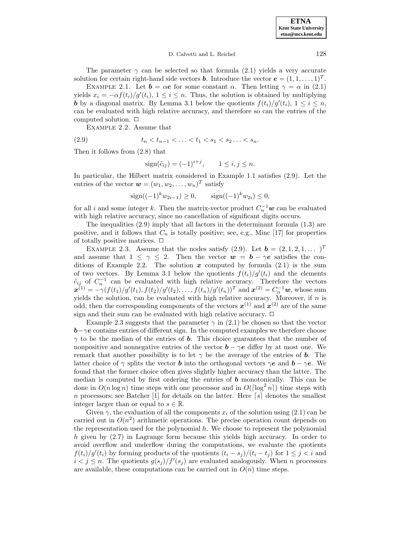#### D. Calvetti and L. Reichel 128

The parameter  $\gamma$  can be selected so that formula (2.1) yields a very accurate solution for certain right-hand side vectors *b*. Introduce the vector  $\mathbf{e} = (1, 1, \ldots, 1)^T$ .

EXAMPLE 2.1. Let  $\mathbf{b} = \alpha \mathbf{e}$  for some constant  $\alpha$ . Then letting  $\gamma = \alpha$  in (2.1) yields  $x_i = -\alpha f(t_i)/g'(t_i)$ ,  $1 \leq i \leq n$ . Thus, the solution is obtained by multiplying *b* by a diagonal matrix. By Lemma 3.1 below the quotients  $f(t_i)/g'(t_i)$ ,  $1 \leq i \leq n$ , can be evaluated with high relative accuracy, and therefore so can the entries of the computed solution.  $\Box$ 

Example 2.2. Assume that

$$
(2.9) \t t_n < t_{n-1} < \ldots < t_1 < s_1 < s_2 \ldots < s_n.
$$

Then it follows from (2.8) that

$$
sign(\tilde{c}_{ij}) = (-1)^{i+j}, \qquad 1 \le i, j \le n.
$$

In particular, the Hilbert matrix considered in Example 1.1 satisfies (2.9). Let the entries of the vector  $\mathbf{w} = (w_1, w_2, \dots, w_n)^T$  satisfy

$$
sign((-1)^k w_{2i-1}) \ge 0
$$
,  $sign((-1)^k w_{2i}) \le 0$ ,

for all i and some integer k. Then the matrix-vector product  $C_n^{-1}w$  can be evaluated with high relative accuracy, since no cancellation of significant digits occurs.

The inequalities (2.9) imply that all factors in the determinant formula (1.3) are positive, and it follows that  $C_n$  is totally positive; see, e.g., Minc [17] for properties of totally positive matrices.  $\Box$ 

EXAMPLE 2.3. Assume that the nodes satisfy  $(2.9)$ . Let  $\mathbf{b} = (2, 1, 2, 1, \dots)^T$ and assume that  $1 \leq \gamma \leq 2$ . Then the vector  $w = b - \gamma e$  satisfies the conditions of Example 2.2. The solution  $x$  computed by formula  $(2.1)$  is the sum of two vectors. By Lemma 3.1 below the quotients  $f(t_i)/g'(t_i)$  and the elements  $\tilde{c}_{ij}$  of  $C_n^{-1}$  can be evaluated with high relative accuracy. Therefore the vectors  $\bm{x}^{(1)} = -\gamma(f(t_1)/g'(t_1), f(t_2)/g'(t_2), \ldots, f(t_n)/g'(t_n))^T$  and  $\bm{x}^{(2)} = C_n^{-1}\bm{w}$ , whose sum yields the solution, can be evaluated with high relative accuracy. Moreover, if  $n$  is odd, then the corresponding components of the vectors  $x^{(1)}$  and  $x^{(2)}$  are of the same sign and their sum can be evaluated with high relative accuracy.  $\Box$ 

Example 2.3 suggests that the parameter  $\gamma$  in (2.1) be chosen so that the vector *b*−γ*e* contains entries of different sign. In the computed examples we therefore choose  $\gamma$  to be the median of the entries of **b**. This choice guarantees that the number of nonpositive and nonnegative entries of the vector  $\boldsymbol{b} - \gamma \boldsymbol{e}$  differ by at most one. We remark that another possibility is to let  $\gamma$  be the average of the entries of **b**. The latter choice of  $\gamma$  splits the vector *b* into the orthogonal vectors  $\gamma e$  and  $\boldsymbol{b} - \gamma e$ . We found that the former choice often gives slightly higher accuracy than the latter. The median is computed by first ordering the entries of *b* monotonically. This can be done in  $O(n \log n)$  time steps with one processor and in  $O(\log^2 n)$  time steps with n processors; see Batcher [1] for details on the latter. Here  $\lceil s \rceil$  denotes the smallest integer larger than or equal to  $s \in \mathbb{R}$ .

Given  $\gamma$ , the evaluation of all the components  $x_i$  of the solution using (2.1) can be carried out in  $O(n^2)$  arithmetic operations. The precise operation count depends on the representation used for the polynomial  $h$ . We choose to represent the polynomial h given by  $(2.7)$  in Lagrange form because this yields high accuracy. In order to avoid overflow and underflow during the computations, we evaluate the quotients  $f(t_i)/g'(t_i)$  by forming products of the quotients  $(t_i - s_j)/(t_i - t_j)$  for  $1 \leq j < i$  and  $i < j \leq n$ . The quotients  $g(s_j)/f'(s_j)$  are evaluated analogously. When n processors are available, these computations can be carried out in  $O(n)$  time steps.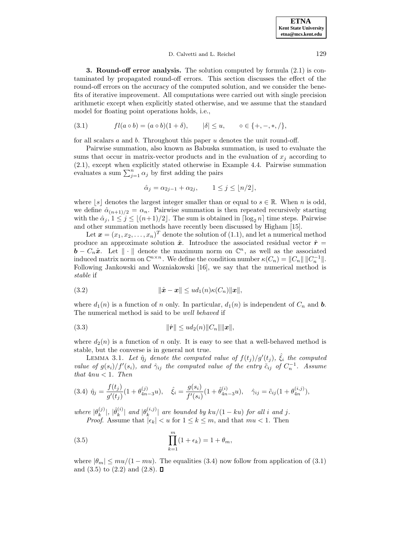#### D. Calvetti and L. Reichel 129

**3. Round-off error analysis.** The solution computed by formula (2.1) is contaminated by propagated round-off errors. This section discusses the effect of the round-off errors on the accuracy of the computed solution, and we consider the benefits of iterative improvement. All computations were carried out with single precision arithmetic except when explicitly stated otherwise, and we assume that the standard model for floating point operations holds, i.e.,

(3.1) 
$$
fl(a \circ b) = (a \circ b)(1 + \delta), \qquad |\delta| \le u, \qquad \circ \in \{+, -, *, /\},
$$

for all scalars a and b. Throughout this paper u denotes the unit round-off.

Pairwise summation, also known as Babuska summation, is used to evaluate the sums that occur in matrix-vector products and in the evaluation of  $x_i$  according to (2.1), except when explicitly stated otherwise in Example 4.4. Pairwise summation evaluates a sum  $\sum_{j=1}^{n} \alpha_j$  by first adding the pairs

$$
\hat{\alpha}_j = \alpha_{2j-1} + \alpha_{2j}, \qquad 1 \le j \le \lfloor n/2 \rfloor,
$$

where  $[s]$  denotes the largest integer smaller than or equal to  $s \in \mathbb{R}$ . When n is odd, we define  $\hat{\alpha}_{(n+1)/2} = \alpha_n$ . Pairwise summation is then repeated recursively starting with the  $\hat{\alpha}_j$ ,  $1 \leq j \leq \lfloor (n+1)/2 \rfloor$ . The sum is obtained in  $\lceil \log_2 n \rceil$  time steps. Pairwise and other summation methods have recently been discussed by Higham [15].

Let  $\boldsymbol{x} = (x_1, x_2, \ldots, x_n)^T$  denote the solution of (1.1), and let a numerical method produce an approximate solution  $\hat{x}$ . Introduce the associated residual vector  $\hat{r} =$ *b* −  $C_n\hat{x}$ . Let  $\|\cdot\|$  denote the maximum norm on  $\mathbb{C}^n$ , as well as the associated induced matrix norm on  $\mathbb{C}^{n \times n}$ . We define the condition number  $\kappa(C_n) = ||C_n|| ||C_n^{-1}||$ . Following Jankowski and Wozniakowski [16], we say that the numerical method is stable if

$$
(3.2) \t\t\t ||\hat{\mathbf{x}} - \mathbf{x}|| \leq u d_1(n) \kappa(C_n) ||\mathbf{x}||,
$$

where  $d_1(n)$  is a function of n only. In particular,  $d_1(n)$  is independent of  $C_n$  and **b**. The numerical method is said to be well behaved if

(3.3) 
$$
\|\hat{\bm{r}}\| \leq u d_2(n) \|C_n\| \|x\|,
$$

where  $d_2(n)$  is a function of n only. It is easy to see that a well-behaved method is stable, but the converse is in general not true.

LEMMA 3.1. Let  $\hat{\eta}_j$  denote the computed value of  $f(t_j)/g'(t_j)$ ,  $\hat{\xi}_i$  the computed value of  $g(s_i)/f'(s_i)$ , and  $\hat{\gamma}_{ij}$  the computed value of the entry  $\tilde{c}_{ij}$  of  $C_n^{-1}$ . Assume that  $4nu < 1$ . Then

$$
(3.4) \ \hat{\eta}_j = \frac{f(t_j)}{g'(t_j)} (1 + \theta_{4n-3}^{(j)} u), \quad \hat{\xi}_i = \frac{g(s_i)}{f'(s_i)} (1 + \hat{\theta}_{4n-3}^{(i)} u), \quad \hat{\gamma}_{ij} = \tilde{c}_{ij} (1 + \theta_{4n}^{(i,j)}),
$$

where  $|\theta_k^{(j)}|$ ,  $|\hat{\theta}_k^{(i)}|$  and  $|\theta_k^{(i,j)}|$  are bounded by  $ku/(1 - ku)$  for all i and j. *Proof.* Assume that  $|\epsilon_k| < u$  for  $1 \leq k \leq m$ , and that  $mu < 1$ . Then

(3.5) 
$$
\prod_{k=1}^{m} (1 + \epsilon_k) = 1 + \theta_m,
$$

where  $|\theta_m| \leq m u/(1 - mu)$ . The equalities (3.4) now follow from application of (3.1) and  $(3.5)$  to  $(2.2)$  and  $(2.8)$ .  $\Box$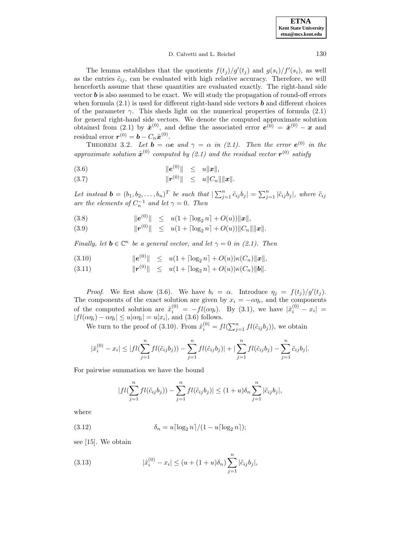| <b>ETNA</b>                  |
|------------------------------|
| <b>Kent State University</b> |
| etna@mcs.kent.edu            |

The lemma establishes that the quotients  $f(t_j)/g'(t_j)$  and  $g(s_i)/f'(s_i)$ , as well as the entries  $\tilde{c}_{ij}$ , can be evaluated with high relative accuracy. Therefore, we will henceforth assume that these quantities are evaluated exactly. The right-hand side vector *b* is also assumed to be exact. We will study the propagation of round-off errors when formula  $(2.1)$  is used for different right-hand side vectors **b** and different choices of the parameter  $\gamma$ . This sheds light on the numerical properties of formula (2.1) for general right-hand side vectors. We denote the computed approximate solution obtained from (2.1) by  $\hat{\boldsymbol{x}}^{(0)}$ , and define the associated error  $\hat{\boldsymbol{e}}^{(0)} = \hat{\boldsymbol{x}}^{(0)} - \boldsymbol{x}$  and residual error  $\mathbf{r}^{(0)} = \mathbf{b} - C_n \hat{\mathbf{x}}^{(0)}$ .

THEOREM 3.2. Let  $\mathbf{b} = \alpha \mathbf{e}$  and  $\gamma = \alpha$  in (2.1). Then the error  $\mathbf{e}^{(0)}$  in the approximate solution  $\hat{x}^{(0)}$  computed by (2.1) and the residual vector  $r^{(0)}$  satisfy

(3.6) 
$$
\|e^{(0)}\| \leq u\|x\|,
$$

(3.7) 
$$
\|r^{(0)}\| \leq u \|C_n\| \|x\|.
$$

Let instead  $\mathbf{b} = (b_1, b_2, \dots, b_n)^T$  be such that  $\sum_{j=1}^n \tilde{c}_{ij} b_j = \sum_{j=1}^n |\tilde{c}_{ij} b_j|$ , where  $\tilde{c}_{ij}$ are the elements of  $C_n^{-1}$  and let  $\gamma = 0$ . Then

(3.8) 
$$
\|e^{(0)}\| \leq u(1 + \lceil \log_2 n \rceil + O(u))\|x\|,
$$

(3.9)  $\|\mathbf{r}^{(0)}\| \leq u(1 + \lceil \log_2 n \rceil + O(u))\|C_n\| \|\mathbf{x}\|.$ 

Finally, let  $\mathbf{b} \in \mathbb{C}^n$  be a general vector, and let  $\gamma = 0$  in (2.1). Then

(3.10) 
$$
\|e^{(0)}\| \leq u(1 + \lceil \log_2 n \rceil + O(u))\kappa(C_n) \|x\|,
$$

 $\|\mathbf{r}^{(0)}\| \leq u(1 + \lceil \log_2 n \rceil + O(u))\kappa(C_n) \|\mathbf{b}\|.$ 

*Proof.* We first show (3.6). We have  $b_i = \alpha$ . Introduce  $\eta_j = f(t_j)/g'(t_j)$ . The components of the exact solution are given by  $x_i = -\alpha \eta_i$ , and the components of the computed solution are  $\hat{x}_i^{(0)} = -fl(\alpha \eta_i)$ . By (3.1), we have  $|\hat{x}_i^{(0)} - x_i|$  $|fl(\alpha\eta_i) - \alpha\eta_i| \leq u|\alpha\eta_i| = u|x_i|$ , and (3.6) follows.

We turn to the proof of (3.10). From  $\hat{x}_i^{(0)} = fl(\sum_{j=1}^nfl(\tilde{c}_{ij}b_j))$ , we obtain

$$
|\hat{x}_i^{(0)} - x_i| \le |fl(\sum_{j=1}^n fl(\tilde{c}_{ij}b_j)) - \sum_{j=1}^n fl(\tilde{c}_{ij}b_j)| + |\sum_{j=1}^n fl(\tilde{c}_{ij}b_j) - \sum_{j=1}^n \tilde{c}_{ij}b_j|.
$$

For pairwise summation we have the bound

$$
|fl(\sum_{j=1}^n fl(\tilde{c}_{ij}b_j)) - \sum_{j=1}^n fl(\tilde{c}_{ij}b_j)| \le (1+u)\delta_n \sum_{j=1}^n |\tilde{c}_{ij}b_j|,
$$

where

(3.12) 
$$
\delta_n = u \lceil \log_2 n \rceil / (1 - u \lceil \log_2 n \rceil);
$$

see [15]. We obtain

(3.13) 
$$
|\hat{x}_i^{(0)} - x_i| \le (u + (1+u)\delta_n) \sum_{j=1}^n |\tilde{c}_{ij}b_j|,
$$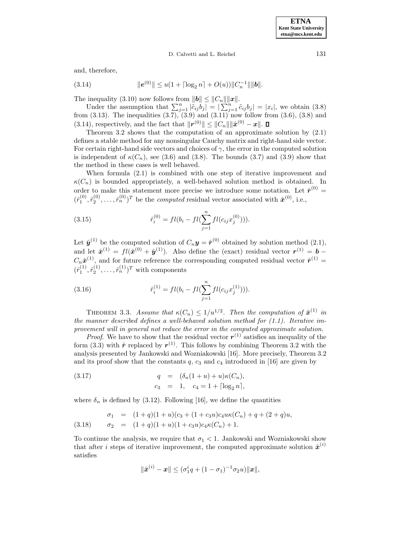D. Calvetti and L. Reichel 131

and, therefore,

(3.14) 
$$
\|e^{(0)}\| \leq u(1 + \lceil \log_2 n \rceil + O(u)) \|C_n^{-1}\| \|b\|.
$$

The inequality (3.10) now follows from  $||\boldsymbol{b}|| \leq ||C_n|| ||\boldsymbol{x}||$ .

Under the assumption that  $\sum_{j=1}^{n} |\ddot{c}_{ij} b_j| = |\sum_{j=1}^{n} \ddot{c}_{ij} b_j| = |x_i|$ , we obtain (3.8) from  $(3.13)$ . The inequalities  $(3.7)$ ,  $(3.9)$  and  $(3.11)$  now follow from  $(3.6)$ ,  $(3.8)$  and (3.14), respectively, and the fact that  $||\mathbf{r}^{(0)}|| \leq ||C_n|| \, ||\hat{\mathbf{x}}^{(0)} - \mathbf{x}||$ .  $\Box$ 

Theorem 3.2 shows that the computation of an approximate solution by (2.1) defines a stable method for any nonsingular Cauchy matrix and right-hand side vector. For certain right-hand side vectors and choices of  $\gamma$ , the error in the computed solution is independent of  $\kappa(C_n)$ , see (3.6) and (3.8). The bounds (3.7) and (3.9) show that the method in these cases is well behaved.

When formula (2.1) is combined with one step of iterative improvement and  $\kappa(C_n)$  is bounded appropriately, a well-behaved solution method is obtained. In order to make this statement more precise we introduce some notation. Let  $\hat{r}^{(0)}$  =  $(\hat{r}_1^{(0)}, \hat{r}_2^{(0)}, \ldots, \hat{r}_n^{(0)})^T$  be the *computed* residual vector associated with  $\hat{x}^{(0)}$ , i.e.,

(3.15) 
$$
\hat{r}_i^{(0)} = fl(b_i - fl(\sum_{j=1}^n fl(c_{ij}x_j^{(0)}))).
$$

Let  $\hat{\mathbf{y}}^{(1)}$  be the computed solution of  $C_n \mathbf{y} = \hat{\mathbf{r}}^{(0)}$  obtained by solution method (2.1), and let  $\hat{\mathbf{x}}^{(1)} = fl(\hat{\mathbf{x}}^{(0)} + \hat{\mathbf{y}}^{(1)})$ . Also define the (exact) residual vector  $\mathbf{r}^{(1)} = \mathbf{b} - \hat{\mathbf{y}}$  $C_n\hat{\boldsymbol{x}}^{(1)}$ , and for future reference the corresponding computed residual vector  $\hat{\boldsymbol{r}}^{(1)}$  =  $(\hat{r}_1^{(1)}, \hat{r}_2^{(1)}, \dots, \hat{r}_n^{(1)})^T$  with components

(3.16) 
$$
\hat{r}_i^{(1)} = fl(b_i - fl(\sum_{j=1}^n fl(c_{ij}x_j^{(1)}))).
$$

THEOREM 3.3. Assume that  $\kappa(C_n) \leq 1/u^{1/2}$ . Then the computation of  $\hat{\boldsymbol{x}}^{(1)}$  in the manner described defines a well-behaved solution method for  $(1.1)$ . Iterative improvement will in general not reduce the error in the computed approximate solution.

*Proof.* We have to show that the residual vector  $r^{(1)}$  satisfies an inequality of the form (3.3) with  $\hat{r}$  replaced by  $r^{(1)}$ . This follows by combining Theorem 3.2 with the analysis presented by Jankowski and Wozniakowski [16]. More precisely, Theorem 3.2 and its proof show that the constants  $q$ ,  $c_3$  and  $c_4$  introduced in [16] are given by

(3.17) 
$$
q = (\delta_n(1+u) + u)\kappa(C_n),
$$

$$
c_3 = 1, \quad c_4 = 1 + \lceil \log_2 n \rceil,
$$

where  $\delta_n$  is defined by (3.12). Following [16], we define the quantities

(3.18) 
$$
\sigma_1 = (1+q)(1+u)(c_3 + (1+c_3u)c_4u\kappa(C_n) + q + (2+q)u,
$$

$$
\sigma_2 = (1+q)(1+u)(1+c_3u)c_4\kappa(C_n) + 1.
$$

To continue the analysis, we require that  $\sigma_1 < 1$ . Jankowski and Wozniakowski show that after i steps of iterative improvement, the computed approximate solution  $\hat{x}^{(i)}$ satisfies

$$
\|\hat{\boldsymbol{x}}^{(i)} - \boldsymbol{x}\| \leq (\sigma_1^i q + (1 - \sigma_1)^{-1} \sigma_2 u) \|\boldsymbol{x}\|,
$$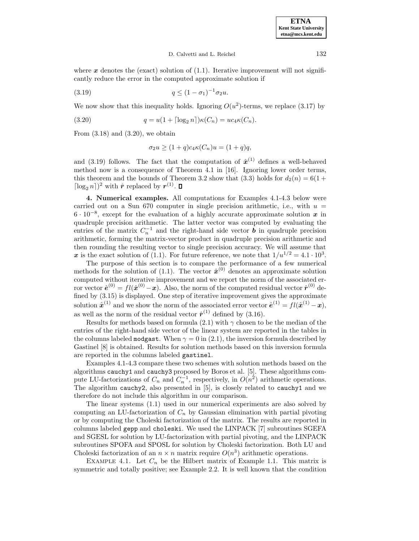#### D. Calvetti and L. Reichel 132

where  $x$  denotes the (exact) solution of  $(1.1)$ . Iterative improvement will not significantly reduce the error in the computed approximate solution if

(3.19) 
$$
q \le (1 - \sigma_1)^{-1} \sigma_2 u.
$$

We now show that this inequality holds. Ignoring  $O(u^2)$ -terms, we replace (3.17) by

(3.20) 
$$
q = u(1 + \lceil \log_2 n \rceil) \kappa(C_n) = u c_4 \kappa(C_n).
$$

From  $(3.18)$  and  $(3.20)$ , we obtain

$$
\sigma_2 u \ge (1+q)c_4 \kappa(C_n)u = (1+q)q,
$$

and (3.19) follows. The fact that the computation of  $\hat{x}^{(1)}$  defines a well-behaved method now is a consequence of Theorem 4.1 in [16]. Ignoring lower order terms, this theorem and the bounds of Theorem 3.2 show that (3.3) holds for  $d_2(n) = 6(1 +$  $\lceil \log_2 n \rceil)^2$  with  $\hat{\mathbf{r}}$  replaced by  $\mathbf{r}^{(1)}$ .  $\Box$ 

**4. Numerical examples.** All computations for Examples 4.1-4.3 below were carried out on a Sun 670 computer in single precision arithmetic, i.e., with  $u =$ 6 · 10−<sup>8</sup>, except for the evaluation of a highly accurate approximate solution *x* in quadruple precision arithmetic. The latter vector was computed by evaluating the entries of the matrix  $C_n^{-1}$  and the right-hand side vector *b* in quadruple precision arithmetic, forming the matrix-vector product in quadruple precision arithmetic and then rounding the resulting vector to single precision accuracy. We will assume that x is the exact solution of (1.1). For future reference, we note that  $1/u^{1/2} = 4.1 \cdot 10^3$ .

The purpose of this section is to compare the performance of a few numerical methods for the solution of (1.1). The vector  $\hat{\mathbf{x}}^{(0)}$  denotes an approximate solution computed without iterative improvement and we report the norm of the associated error vector  $\hat{\boldsymbol{e}}^{(0)} = fl(\hat{\boldsymbol{x}}^{(0)} - \boldsymbol{x})$ . Also, the norm of the computed residual vector  $\hat{\boldsymbol{r}}^{(0)}$  defined by (3.15) is displayed. One step of iterative improvement gives the approximate solution  $\hat{x}^{(1)}$  and we show the norm of the associated error vector  $\hat{e}^{(1)} = fl(\hat{x}^{(1)} - x)$ , as well as the norm of the residual vector  $\hat{r}^{(1)}$  defined by (3.16).

Results for methods based on formula (2.1) with  $\gamma$  chosen to be the median of the entries of the right-hand side vector of the linear system are reported in the tables in the columns labeled modgast. When  $\gamma = 0$  in (2.1), the inversion formula described by Gastinel [8] is obtained. Results for solution methods based on this inversion formula are reported in the columns labeled gastinel.

Examples 4.1-4.3 compare these two schemes with solution methods based on the algorithms cauchy1 and cauchy3 proposed by Boros et al. [5]. These algorithms compute LU-factorizations of  $C_n$  and  $C_n^{-1}$ , respectively, in  $O(n^2)$  arithmetic operations. The algorithm cauchy2, also presented in [5], is closely related to cauchy1 and we therefore do not include this algorithm in our comparison.

The linear systems (1.1) used in our numerical experiments are also solved by computing an LU-factorization of  $C_n$  by Gaussian elimination with partial pivoting or by computing the Choleski factorization of the matrix. The results are reported in columns labeled gepp and choleski. We used the LINPACK [7] subroutines SGEFA and SGESL for solution by LU-factorization with partial pivoting, and the LINPACK subroutines SPOFA and SPOSL for solution by Choleski factorization. Both LU and Choleski factorization of an  $n \times n$  matrix require  $O(n^3)$  arithmetic operations.

EXAMPLE 4.1. Let  $C_n$  be the Hilbert matrix of Example 1.1. This matrix is symmetric and totally positive; see Example 2.2. It is well known that the condition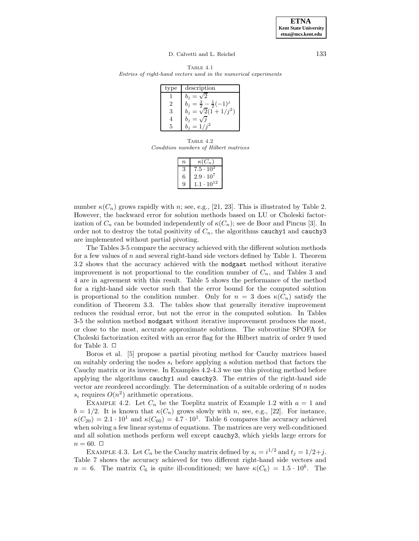#### D. Calvetti and L. Reichel 133

Table 4.1 Entries of right-hand vectors used in the numerical experiments

| type | description                                       |
|------|---------------------------------------------------|
|      |                                                   |
|      | $\frac{3}{2} - \frac{1}{2}(-1)^j$<br>$=$<br>$b_i$ |
|      | $b_j = \sqrt{2}(1 + 1/j^2)$                       |
|      |                                                   |
|      | $=1/$                                             |

TABLE  $4.2$ Condition numbers of Hilbert matrices

| $\boldsymbol{n}$ | $\kappa(C_n)$       |
|------------------|---------------------|
|                  | $7.5 \cdot 10^{2}$  |
| 6                | $2.9 \cdot 10^7$    |
|                  | $1.1 \cdot 10^{12}$ |

number  $\kappa(C_n)$  grows rapidly with n; see, e.g., [21, 23]. This is illustrated by Table 2. However, the backward error for solution methods based on LU or Choleski factorization of  $C_n$  can be bounded independently of  $\kappa(C_n)$ ; see de Boor and Pincus [3]. In order not to destroy the total positivity of  $C_n$ , the algorithms cauchy1 and cauchy3 are implemented without partial pivoting.

The Tables 3-5 compare the accuracy achieved with the different solution methods for a few values of n and several right-hand side vectors defined by Table 1. Theorem 3.2 shows that the accuracy achieved with the modgast method without iterative improvement is not proportional to the condition number of  $C_n$ , and Tables 3 and 4 are in agreement with this result. Table 5 shows the performance of the method for a right-hand side vector such that the error bound for the computed solution is proportional to the condition number. Only for  $n = 3$  does  $\kappa(C_n)$  satisfy the condition of Theorem 3.3. The tables show that generally iterative improvement reduces the residual error, but not the error in the computed solution. In Tables 3-5 the solution method modgast without iterative improvement produces the most, or close to the most, accurate approximate solutions. The subroutine SPOFA for Choleski factorization exited with an error flag for the Hilbert matrix of order 9 used for Table 3.  $\Box$ 

Boros et al. [5] propose a partial pivoting method for Cauchy matrices based on suitably ordering the nodes  $s_i$  before applying a solution method that factors the Cauchy matrix or its inverse. In Examples 4.2-4.3 we use this pivoting method before applying the algorithms cauchy1 and cauchy3. The entries of the right-hand side vector are reordered accordingly. The determination of a suitable ordering of  $n$  nodes  $s_i$  requires  $O(n^2)$  arithmetic operations.

EXAMPLE 4.2. Let  $C_n$  be the Toeplitz matrix of Example 1.2 with  $a = 1$  and  $b = 1/2$ . It is known that  $\kappa(C_n)$  grows slowly with n, see, e.g., [22]. For instance,  $\kappa(C_{20})=2.1 \cdot 10^1$  and  $\kappa(C_{60})=4.7 \cdot 10^1$ . Table 6 compares the accuracy achieved when solving a few linear systems of equations. The matrices are very well-conditioned and all solution methods perform well except cauchy3, which yields large errors for  $n = 60. \ \Box$ 

EXAMPLE 4.3. Let  $C_n$  be the Cauchy matrix defined by  $s_i = i^{1/2}$  and  $t_j = 1/2+j$ . Table 7 shows the accuracy achieved for two different right-hand side vectors and  $n = 6$ . The matrix  $C_6$  is quite ill-conditioned; we have  $\kappa(C_6)=1.5 \cdot 10^6$ . The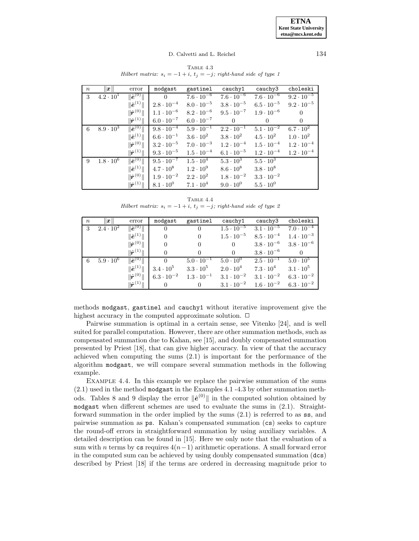TABLE  $4.3$ Hilbert matrix:  $s_i = -1 + i$ ,  $t_j = -j$ ; right-hand side of type 1

| $\,n$ | $\ x\ $            | error                                       | modgast             | gastinel                       | cauchy1             | cauchy3             | choleski            |
|-------|--------------------|---------------------------------------------|---------------------|--------------------------------|---------------------|---------------------|---------------------|
| 3     | $4.2 \cdot 10^{1}$ | $\overline{\ \hat{\boldsymbol{e}}^{(0)}\ }$ | $\Omega$            | $7.6 \cdot 10^{-6}$            | $7.6 \cdot 10^{-6}$ | $7.6 \cdot 10^{-6}$ | $9.2 \cdot 10^{-5}$ |
|       |                    | $\ \hat{\bm{e}}^{(1)}\ $                    | $2.8 \cdot 10^{-4}$ | $8.0 \cdot 10^{-5}$            | $3.8 \cdot 10^{-5}$ | $6.5 \cdot 10^{-5}$ | $9.2 \cdot 10^{-5}$ |
|       |                    | $\ \hat{\bm{r}}^{(0)}\ $                    | $1.1 \cdot 10^{-6}$ | $8.2 \cdot 10^{-6}$            | $9.5 \cdot 10^{-7}$ | $1.9 \cdot 10^{-6}$ | $\Omega$            |
|       |                    | $\ \hat{\bm{r}}^{(1)}\ $                    | $6.0 \cdot 10^{-7}$ | $6.0 \cdot 10^{-7}$            | $\left($            | $\Omega$            | $\Omega$            |
| 6     | $8.9 \cdot 10^{3}$ | $\ \hat{\bm{e}}^{(0)}\ $                    | $9.8 \cdot 10^{-4}$ | $5.9 \cdot \overline{10^{-1}}$ | $2.2 \cdot 10^{-1}$ | $5.1 \cdot 10^{-2}$ | $6.7 \cdot 10^{2}$  |
|       |                    | $\ \hat{\bm{e}}^{\hspace{0.02cm}(1)}\ $     | $6.6 \cdot 10^{-1}$ | $3.6\cdot10^{2}$               | $3.8 \cdot 10^{2}$  | $4.5 \cdot 10^{2}$  | $1.0 \cdot 10^{2}$  |
|       |                    | $\ \hat{\bm{r}}^{(0)}\ $                    | $3.2 \cdot 10^{-5}$ | $7.0 \cdot 10^{-3}$            | $1.2 \cdot 10^{-4}$ | $1.5 \cdot 10^{-4}$ | $1.2 \cdot 10^{-4}$ |
|       |                    | $\ \hat{\bm{r}}^{(1)}\ $                    | $9.3 \cdot 10^{-5}$ | $1.5 \cdot 10^{-4}$            | $6.1 \cdot 10^{-5}$ | $1.2 \cdot 10^{-4}$ | $1.2 \cdot 10^{-4}$ |
| 9     | $1.8 \cdot 10^{6}$ | $\ \hat{\bm{e}}^{(0)}\ $                    | $9.5 \cdot 10^{-7}$ | $1.5 \cdot 10^{4}$             | $5.3 \cdot 10^{3}$  | $5.5 \cdot 10^{3}$  |                     |
|       |                    | $\ \hat{\bm{e}}^{(1)}\ $                    | $4.7 \cdot 10^8$    | $1.2 \cdot 10^{9}$             | $8.6\cdot10^8$      | $3.8 \cdot 10^8$    |                     |
|       |                    | $\ \hat{\bm{r}}^{(0)}\ $                    | $1.9 \cdot 10^{-2}$ | $2.2 \cdot 10^{2}$             | $1.8 \cdot 10^{-2}$ | $3.3 \cdot 10^{-2}$ |                     |
|       |                    | $\ \hat{\bm{r}}^{(1)}\ $                    | $8.1\cdot10^{0}$    | $7.1 \cdot 10^{4}$             | $9.0 \cdot 10^{0}$  | $5.5 \cdot 10^{0}$  |                     |

TABLE  $4.4$ Hilbert matrix:  $s_i = -1 + i$ ,  $t_j = -j$ ; right-hand side of type 2

| $\boldsymbol{n}$ | $\ x\ $            | error                    | modgast             | gastinel            | cauchy1             | cauchy3             | choleski            |
|------------------|--------------------|--------------------------|---------------------|---------------------|---------------------|---------------------|---------------------|
| 3                | $2.4 \cdot 10^{2}$ | $\ \hat{\bm{e}}^{(0)}\ $ | $\theta$            | $\theta$            | $1.5 \cdot 10^{-5}$ | $3.1 \cdot 10^{-5}$ | $7.0 \cdot 10^{-4}$ |
|                  |                    | $\ \hat{\bm{e}}^{(1)}\ $ | $\Omega$            | $\overline{0}$      | $1.5 \cdot 10^{-5}$ | $8.5 \cdot 10^{-4}$ | $1.4 \cdot 10^{-3}$ |
|                  |                    | $\ \hat{\bm{r}}^{(0)}\ $ | $\Omega$            | $\Omega$            | $\theta$            | $3.8 \cdot 10^{-6}$ | $3.8 \cdot 10^{-6}$ |
|                  |                    | $\ \hat{\bm{r}}^{(1)}\ $ | $\Omega$            |                     | $\overline{0}$      | $3.8 \cdot 10^{-6}$ | $\Omega$            |
| 6                | $5.9 \cdot 10^{6}$ | $\ \hat{\bm{e}}^{(0)}\ $ | $\Omega$            | $5.0 \cdot 10^{-1}$ | $5.0 \cdot 10^{0}$  | $2.5 \cdot 10^{-1}$ | $5.0 \cdot 10^5$    |
|                  |                    | $\ \hat{\bm{e}}^{(1)}\ $ | $3.4\cdot10^5$      | $3.3\cdot10^5$      | $2.0\cdot10^4$      | $7.3\cdot10^4$      | $3.1 \cdot 10^{5}$  |
|                  |                    | $\ \hat{\bm{r}}^{(0)}\ $ | $6.3 \cdot 10^{-2}$ | $1.3 \cdot 10^{-1}$ | $3.1 \cdot 10^{-2}$ | $3.1 \cdot 10^{-2}$ | $6.3 \cdot 10^{-2}$ |
|                  |                    | $\ \hat{\bm{r}}^{(1)}\ $ | $\Omega$            | $\overline{0}$      | $3.1 \cdot 10^{-2}$ | $1.6 \cdot 10^{-2}$ | $6.3 \cdot 10^{-2}$ |

methods modgast, gastinel and cauchy1 without iterative improvement give the highest accuracy in the computed approximate solution.  $\Box$ 

Pairwise summation is optimal in a certain sense, see Vitenko [24], and is well suited for parallel computation. However, there are other summation methods, such as compensated summation due to Kahan, see [15], and doubly compensated summation presented by Priest [18], that can give higher accuracy. In view of that the accuracy achieved when computing the sums (2.1) is important for the performance of the algorithm modgast, we will compare several summation methods in the following example.

Example 4.4. In this example we replace the pairwise summation of the sums (2.1) used in the method modgast in the Examples 4.1 -4.3 by other summation methods. Tables 8 and 9 display the error  $\|\hat{\boldsymbol{e}}^{(0)}\|$  in the computed solution obtained by modgast when different schemes are used to evaluate the sums in (2.1). Straightforward summation in the order implied by the sums (2.1) is referred to as ss, and pairwise summation as ps. Kahan's compensated summation (cs) seeks to capture the round-off errors in straightforward summation by using auxiliary variables. A detailed description can be found in [15]. Here we only note that the evaluation of a sum with *n* terms by cs requires  $4(n-1)$  arithmetic operations. A small forward error in the computed sum can be achieved by using doubly compensated summation (dcs) described by Priest [18] if the terms are ordered in decreasing magnitude prior to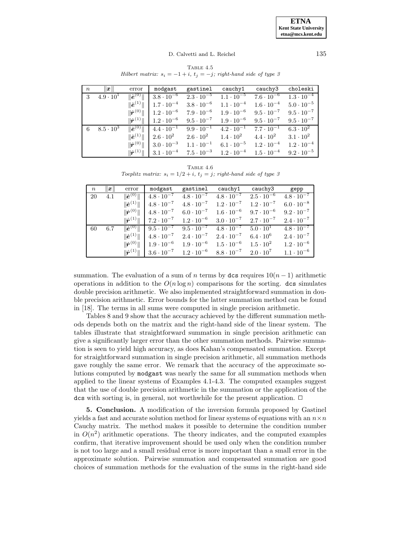TABLE  $4.5$ Hilbert matrix:  $s_i = -1 + i$ ,  $t_j = -j$ ; right-hand side of type 3

| $\boldsymbol{n}$ | $\ x\ $            | error                    | modgast                                                 | gastinel                                                                                                                                           | cauchy1                                 | cauchy3             | choleski            |
|------------------|--------------------|--------------------------|---------------------------------------------------------|----------------------------------------------------------------------------------------------------------------------------------------------------|-----------------------------------------|---------------------|---------------------|
| 3                | $4.9 \cdot 10^{1}$ | $\ \hat{\bm{e}}^{(0)}\ $ |                                                         | $3.8 \cdot 10^{-6}$ $2.3 \cdot 10^{-5}$ $1.1 \cdot 10^{-5}$ $7.6 \cdot 10^{-6}$                                                                    |                                         |                     | $1.3\cdot10^{-4}$   |
|                  |                    | $\ \hat{\bm{e}}^{(1)}\ $ | $1.7 \cdot 10^{-4}$                                     | $3.8 \cdot 10^{-6}$ $1.1 \cdot 10^{-4}$                                                                                                            |                                         | $1.6 \cdot 10^{-4}$ | $5.0 \cdot 10^{-5}$ |
|                  |                    |                          |                                                         | $\ \hat{\mathbf{r}}^{(0)}\ $   1.2 $\cdot$ 10 <sup>-6</sup> 7.9 $\cdot$ 10 <sup>-6</sup> 1.9 $\cdot$ 10 <sup>-6</sup> 9.5 $\cdot$ 10 <sup>-7</sup> |                                         |                     | $9.5 \cdot 10^{-7}$ |
|                  |                    |                          | $\ \hat{\bm{r}}^{(1)}\ $   1.2 $\cdot$ 10 <sup>-6</sup> | $9.5 \cdot 10^{-7}$ $1.9 \cdot 10^{-6}$ $9.5 \cdot 10^{-7}$                                                                                        |                                         |                     | $9.5 \cdot 10^{-7}$ |
| 6                | $8.5 \cdot 10^3$   |                          |                                                         | $\ \hat{e}^{(0)}\ $   4.4 · $10^{-1}$ 9.9 · $10^{-1}$ 4.2 · $10^{-1}$ 7.7 · $10^{-1}$                                                              |                                         |                     | $6.3 \cdot 10^{2}$  |
|                  |                    | $\ \hat{\bm{e}}^{(1)}\ $ | $2.6 \cdot 10^2$                                        | $2.6 \cdot 10^2$ $1.4 \cdot 10^2$                                                                                                                  |                                         | $4.4 \cdot 10^{2}$  | $3.1 \cdot 10^{2}$  |
|                  |                    | $\ \hat{\bm{r}}^{(0)}\ $ | $3.0 \cdot 10^{-3}$                                     | $1.1 \cdot 10^{-1}$                                                                                                                                | $6.1 \cdot 10^{-5}$ $1.2 \cdot 10^{-4}$ |                     | $1.2 \cdot 10^{-4}$ |
|                  |                    | $\ \hat{\bm{r}}^{(1)}\ $ |                                                         | $1.3 \cdot 10^{-4}$ $7.5 \cdot 10^{-3}$ $1.2 \cdot 10^{-4}$ $1.5 \cdot 10^{-4}$                                                                    |                                         |                     | $9.2 \cdot 10^{-5}$ |

TABLE  $4.6$ Toeplitz matrix:  $s_i = 1/2 + i$ ,  $t_j = j$ ; right-hand side of type 3

| $\boldsymbol{n}$ | $\left\vert x\right\vert$ | error                            | modgast             | gastinel                                | cauchy1                                 | cauchy3             | gepp                |
|------------------|---------------------------|----------------------------------|---------------------|-----------------------------------------|-----------------------------------------|---------------------|---------------------|
| 20               | 4.1                       | $\ \hat{\bm{e}}^{(0)}\ $         | $4.8 \cdot 10^{-7}$ | $4.8 \cdot 10^{-7}$                     | $4.8 \cdot 10^{-7}$                     | $2.5 \cdot 10^{-6}$ | $4.8 \cdot 10^{-7}$ |
|                  |                           | $\ \hat{\bm{e}}^{(1)}\ $         | $4.8 \cdot 10^{-7}$ | $4.8 \cdot 10^{-7}$                     | $1.2 \cdot 10^{-7}$                     | $1.2 \cdot 10^{-7}$ | $6.0 \cdot 10^{-8}$ |
|                  |                           | $\ \hat{\bm{r}}^{(0)}\ $         |                     | $4.8 \cdot 10^{-7}$ $6.0 \cdot 10^{-7}$ | $1.6 \cdot 10^{-6}$                     | $9.7 \cdot 10^{-6}$ | $9.2 \cdot 10^{-7}$ |
|                  |                           | $\ \hat{\boldsymbol{r}}^{(1)}\ $ | $7.2 \cdot 10^{-7}$ | $1.2 \cdot 10^{-6}$                     | $3.0 \cdot 10^{-7}$ $2.7 \cdot 10^{-7}$ |                     | $2.4 \cdot 10^{-7}$ |
| 60               | 6.7                       | $\ \hat{\boldsymbol{e}}^{(0)}\ $ | $9.5 \cdot 10^{-7}$ | $9.5 \cdot 10^{-7}$                     | $4.8 \cdot 10^{-7}$                     | $5.0 \cdot 10^{1}$  | $4.8 \cdot 10^{-7}$ |
|                  |                           | $\ \hat{\bm{e}}^{(1)}\ $         | $4.8 \cdot 10^{-7}$ | $2.4 \cdot 10^{-7}$                     | $2.4 \cdot 10^{-7}$                     | $6.4 \cdot 10^{6}$  | $2.4 \cdot 10^{-7}$ |
|                  |                           | $\ \hat{\bm{r}}^{(0)}\ $         | $1.9 \cdot 10^{-6}$ | $1.9 \cdot 10^{-6}$                     | $1.5 \cdot 10^{-6}$                     | $1.5 \cdot 10^{2}$  | $1.2 \cdot 10^{-6}$ |
|                  |                           | $\ \hat{\bm{r}}^{(1)}\ $         | $3.6 \cdot 10^{-7}$ | $1.2 \cdot 10^{-6}$                     | $8.8 \cdot 10^{-7}$                     | $2.0 \cdot 10^{7}$  | $1.1 \cdot 10^{-6}$ |

summation. The evaluation of a sum of n terms by dcs requires  $10(n-1)$  arithmetic operations in addition to the  $O(n \log n)$  comparisons for the sorting. dcs simulates double precision arithmetic. We also implemented straightforward summation in double precision arithmetic. Error bounds for the latter summation method can be found in [18]. The terms in all sums were computed in single precision arithmetic.

Tables 8 and 9 show that the accuracy achieved by the different summation methods depends both on the matrix and the right-hand side of the linear system. The tables illustrate that straightforward summation in single precision arithmetic can give a significantly larger error than the other summation methods. Pairwise summation is seen to yield high accuracy, as does Kahan's compensated summation. Except for straightforward summation in single precision arithmetic, all summation methods gave roughly the same error. We remark that the accuracy of the approximate solutions computed by modgast was nearly the same for all summation methods when applied to the linear systems of Examples 4.1-4.3. The computed examples suggest that the use of double precision arithmetic in the summation or the application of the dcs with sorting is, in general, not worthwhile for the present application.  $\Box$ 

**5. Conclusion.** A modification of the inversion formula proposed by Gastinel yields a fast and accurate solution method for linear systems of equations with an  $n \times n$ Cauchy matrix. The method makes it possible to determine the condition number in  $O(n^2)$  arithmetic operations. The theory indicates, and the computed examples confirm, that iterative improvement should be used only when the condition number is not too large and a small residual error is more important than a small error in the approximate solution. Pairwise summation and compensated summation are good choices of summation methods for the evaluation of the sums in the right-hand side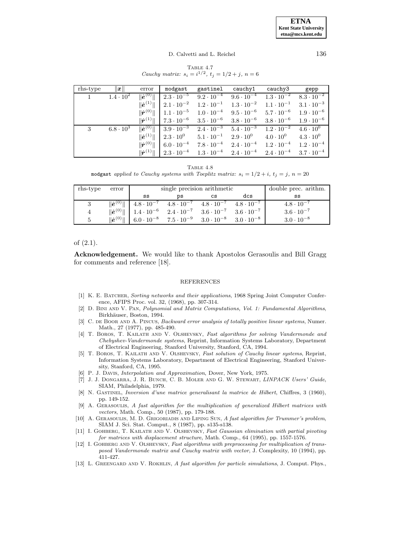#### D. Calvetti and L. Reichel 136

TABLE  $4.7$ Cauchy matrix:  $s_i = i^{1/2}, t_j = 1/2 + j, n = 6$ 

| rhs-type | $\ x\ $            | error                    | modgast | gastinel cauchy1                                                                                                                                                                    | cauchy3 | gepp |
|----------|--------------------|--------------------------|---------|-------------------------------------------------------------------------------------------------------------------------------------------------------------------------------------|---------|------|
| 1        | $1.4 \cdot 10^{2}$ | $\ \hat{\bm{e}}^{(0)}\ $ |         | $2.3 \cdot 10^{-5}$ $9.2 \cdot 10^{-4}$ $9.6 \cdot 10^{-4}$ $1.3 \cdot 10^{-2}$ $8.3 \cdot 10^{-2}$                                                                                 |         |      |
|          |                    |                          |         | $\ \hat{\bm{e}}^{(1)}\ $   $2.1\cdot10^{-2}$ $1.2\cdot10^{-1}$ $1.3\cdot10^{-2}$ $1.1\cdot10^{-1}$ $3.1\cdot10^{-3}$                                                                |         |      |
|          |                    |                          |         | $\ \hat{\bm{r}}^{(0)}\ $   1.1 $\cdot$ 10 <sup>-5</sup> 1.0 $\cdot$ 10 <sup>-4</sup> 9.5 $\cdot$ 10 <sup>-6</sup> 5.7 $\cdot$ 10 <sup>-6</sup> 1.9 $\cdot$ 10 <sup>-6</sup>         |         |      |
|          |                    |                          |         | $\ \hat{\bm{r}}^{(1)}\ $   7.3 $\cdot$ 10 $^{-6}$ = 3.5 $\cdot$ 10 $^{-6}$ = 3.8 $\cdot$ 10 $^{-6}$ = 3.8 $\cdot$ 10 $^{-6}$ = 1.9 $\cdot$ 10 $^{-6}$                               |         |      |
| 3        | $6.8 \cdot 10^{3}$ |                          |         | $\ \hat{\boldsymbol{e}}^{(0)}\ $ 3.9 $\cdot$ 10 <sup>-3</sup> 2.4 $\cdot$ 10 <sup>-3</sup> 5.4 $\cdot$ 10 <sup>-3</sup> 1.2 $\cdot$ 10 <sup>-2</sup> 4.6 $\cdot$ 10 <sup>0</sup>    |         |      |
|          |                    |                          |         | $\ \hat{\bm{e}}^{(1)}\ $   $2.3\cdot10^0$ $5.1\cdot10^{-1}$ $2.9\cdot10^0$ $4.0\cdot10^0$ $4.3\cdot10^0$                                                                            |         |      |
|          |                    |                          |         | $\ \hat{\boldsymbol{r}}^{(0)}\ $   6.0 $\cdot$ 10 <sup>-4</sup> 7.8 $\cdot$ 10 <sup>-4</sup> 2.4 $\cdot$ 10 <sup>-4</sup> 1.2 $\cdot$ 10 <sup>-4</sup> 1.2 $\cdot$ 10 <sup>-4</sup> |         |      |
|          |                    |                          |         | $\ \hat{\bm{r}}^{(1)}\ $ $\mid 2.3\cdot 10^{-4}$ $1.3\cdot 10^{-4}$ $2.4\cdot 10^{-4}$ $2.4\cdot 10^{-4}$ $3.7\cdot 10^{-4}$                                                        |         |      |

TABLE 4.8 modgast applied to Cauchy systems with Toeplitz matrix:  $s_i = 1/2 + i$ ,  $t_j = j$ ,  $n = 20$ 

| rhs-type       | error                    |                                                                                                                                                        | single precision arithmetic                                 | double prec. arithm.             |                     |
|----------------|--------------------------|--------------------------------------------------------------------------------------------------------------------------------------------------------|-------------------------------------------------------------|----------------------------------|---------------------|
|                |                          | SS                                                                                                                                                     | ĎS                                                          | SS                               |                     |
| 3              | $\ \hat{\bm{e}}^{(0)}\ $ |                                                                                                                                                        | $4.8 \cdot 10^{-7}$ $4.8 \cdot 10^{-7}$ $4.8 \cdot 10^{-7}$ | 4.8 $\cdot$ $\overline{10^{-7}}$ | $4.8 \cdot 10^{-7}$ |
| $\overline{4}$ |                          | $\ \hat{e}^{(0)}\ $   1.4 $\cdot$ 10 <sup>-6</sup> 2.4 $\cdot$ 10 <sup>-7</sup> 3.6 $\cdot$ 10 <sup>-7</sup> 3.6 $\cdot$ 10 <sup>-7</sup>              |                                                             |                                  | $3.6 \cdot 10^{-7}$ |
|                |                          | $\ \hat{\boldsymbol{e}}^{(0)}\ $   6.0 $\cdot$ 10 <sup>-8</sup> 7.5 $\cdot$ 10 <sup>-9</sup> 3.0 $\cdot$ 10 <sup>-8</sup> 3.0 $\cdot$ 10 <sup>-8</sup> |                                                             |                                  | $3.0 \cdot 10^{-8}$ |

## of (2.1).

**Acknowledgement.** We would like to thank Apostolos Gerasoulis and Bill Gragg for comments and reference [18].

### **REFERENCES**

- [1] K. E. BATCHER, Sorting networks and their applications, 1968 Spring Joint Computer Conference, AFIPS Proc. vol. 32, (1968), pp. 307-314.
- [2] D. Bini and V. Pan, Polynomial and Matrix Computations, Vol. 1: Fundamental Algorithms, Birkhäuser, Boston, 1994.
- [3] C. DE BOOR AND A. PINCUS, *Backward error analysis of totally positive linear systems*, Numer. Math., 27 (1977), pp. 485-490.
- [4] T. Boros, T. Kailath and V. Olshevsky, Fast algorithms for solving Vandermonde and Chebyshev-Vandermonde systems, Reprint, Information Systems Laboratory, Department of Electrical Engineering, Stanford University, Stanford, CA, 1994.
- [5] T. BOROS, T. KAILATH AND V. OLSHEVSKY, Fast solution of Cauchy linear systems, Reprint, Information Systems Laboratory, Department of Electrical Engineering, Stanford University, Stanford, CA, 1995.
- [6] P. J. Davis, Interpolation and Approximation, Dover, New York, 1975.
- [7] J. J. Dongarra, J. R. Bunch, C. B. Moler and G. W. Stewart, LINPACK Users' Guide, SIAM, Philadelphia, 1979.
- [8] N. Gastinel, Inversion d'une matrice generalisant la matrice de Hilbert, Chiffres, 3 (1960), pp. 149-152.
- [9] A. Gerasoulis, A fast algorithm for the multiplication of generalized Hilbert matrices with vectors, Math. Comp., 50 (1987), pp. 179-188.
- [10] A. GERASOULIS, M. D. GRIGORIADIS AND LIPING SUN, A fast algorithm for Trummer's problem, SIAM J. Sci. Stat. Comput., 8 (1987), pp. s135-s138.
- [11] I. GOHBERG, T. KAILATH AND V. OLSHEVSKY, Fast Gaussian elimination with partial pivoting for matrices with displacement structure, Math. Comp., 64 (1995), pp. 1557-1576.
- [12] I. GOHBERG AND V. OLSHEVSKY, Fast algorithms with preprocessing for multiplication of transposed Vandermonde matrix and Cauchy matrix with vector, J. Complexity, 10 (1994), pp. 411-427.
- [13] L. GREENGARD AND V. ROKHLIN, A fast algorithm for particle simulations, J. Comput. Phys.,